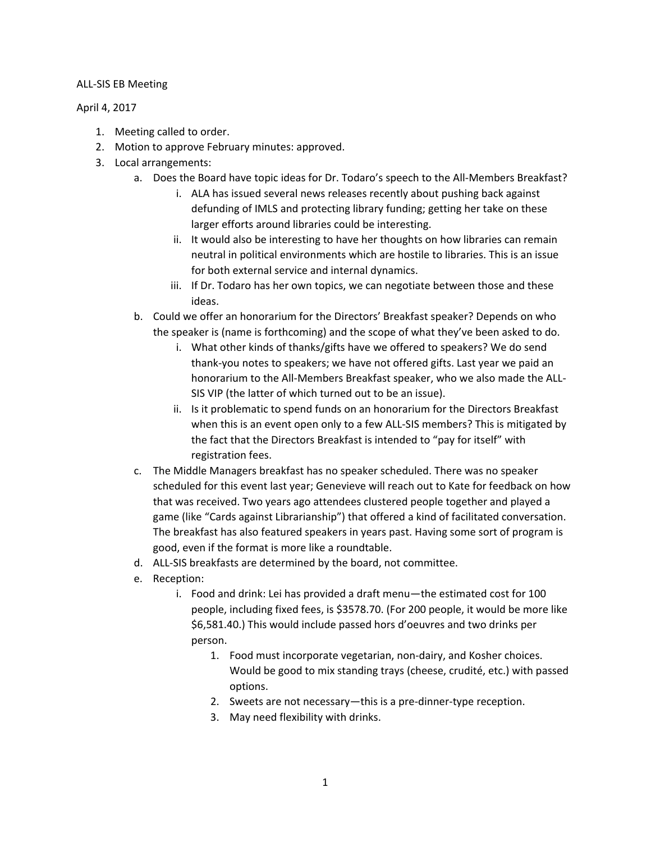## ALL-SIS EB Meeting

## April 4, 2017

- 1. Meeting called to order.
- 2. Motion to approve February minutes: approved.
- 3. Local arrangements:
	- a. Does the Board have topic ideas for Dr. Todaro's speech to the All-Members Breakfast?
		- i. ALA has issued several news releases recently about pushing back against defunding of IMLS and protecting library funding; getting her take on these larger efforts around libraries could be interesting.
		- ii. It would also be interesting to have her thoughts on how libraries can remain neutral in political environments which are hostile to libraries. This is an issue for both external service and internal dynamics.
		- iii. If Dr. Todaro has her own topics, we can negotiate between those and these ideas.
	- b. Could we offer an honorarium for the Directors' Breakfast speaker? Depends on who the speaker is (name is forthcoming) and the scope of what they've been asked to do.
		- i. What other kinds of thanks/gifts have we offered to speakers? We do send thank-you notes to speakers; we have not offered gifts. Last year we paid an honorarium to the All-Members Breakfast speaker, who we also made the ALL-SIS VIP (the latter of which turned out to be an issue).
		- ii. Is it problematic to spend funds on an honorarium for the Directors Breakfast when this is an event open only to a few ALL-SIS members? This is mitigated by the fact that the Directors Breakfast is intended to "pay for itself" with registration fees.
	- c. The Middle Managers breakfast has no speaker scheduled. There was no speaker scheduled for this event last year; Genevieve will reach out to Kate for feedback on how that was received. Two years ago attendees clustered people together and played a game (like "Cards against Librarianship") that offered a kind of facilitated conversation. The breakfast has also featured speakers in years past. Having some sort of program is good, even if the format is more like a roundtable.
	- d. ALL-SIS breakfasts are determined by the board, not committee.
	- e. Reception:
		- i. Food and drink: Lei has provided a draft menu—the estimated cost for 100 people, including fixed fees, is \$3578.70. (For 200 people, it would be more like \$6,581.40.) This would include passed hors d'oeuvres and two drinks per person.
			- 1. Food must incorporate vegetarian, non-dairy, and Kosher choices. Would be good to mix standing trays (cheese, crudité, etc.) with passed options.
			- 2. Sweets are not necessary—this is a pre-dinner-type reception.
			- 3. May need flexibility with drinks.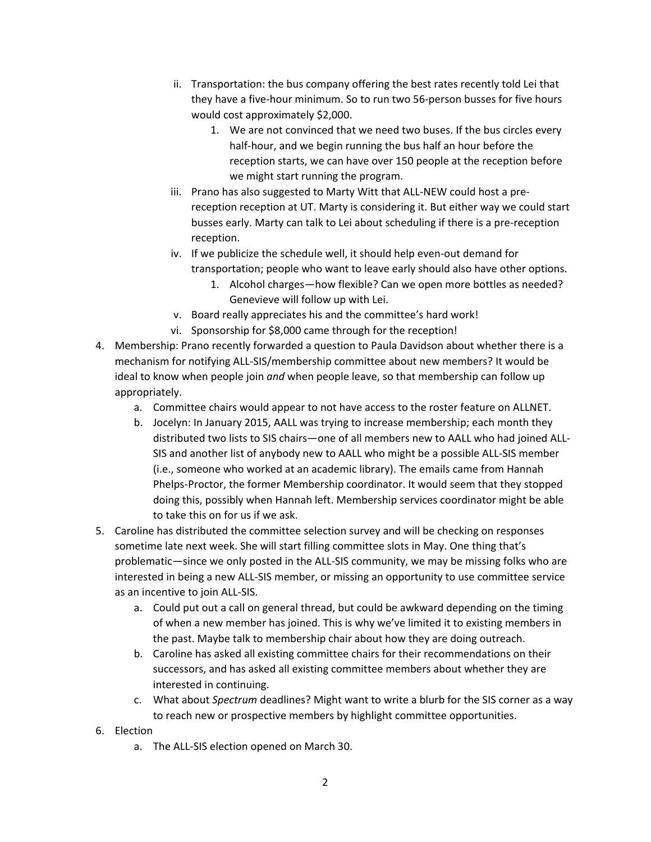- ii. Transportation: the bus company offering the best rates recently told Lei that they have a five-hour minimum. So to run two 56-person busses for five hours would cost approximately \$2,000.
	- 1. We are not convinced that we need two buses. If the bus circles every half-hour, and we begin running the bus half an hour before the reception starts, we can have over 150 people at the reception before we might start running the program.
- iii. Prano has also suggested to Marty Witt that ALL-NEW could host a prereception reception at UT. Marty is considering it. But either way we could start busses early. Marty can talk to Lei about scheduling if there is a pre-reception reception.
- iv. If we publicize the schedule well, it should help even-out demand for transportation; people who want to leave early should also have other options.
	- 1. Alcohol charges—how flexible? Can we open more bottles as needed? Genevieve will follow up with Lei.
- v. Board really appreciates his and the committee's hard work!
- vi. Sponsorship for \$8,000 came through for the reception!
- 4. Membership: Prano recently forwarded a question to Paula Davidson about whether there is a mechanism for notifying ALL-SIS/membership committee about new members? It would be ideal to know when people join *and* when people leave, so that membership can follow up appropriately.
	- a. Committee chairs would appear to not have access to the roster feature on ALLNET.
	- b. Jocelyn: In January 2015, AALL was trying to increase membership; each month they distributed two lists to SIS chairs—one of all members new to AALL who had joined ALL-SIS and another list of anybody new to AALL who might be a possible ALL-SIS member (i.e., someone who worked at an academic library). The emails came from Hannah Phelps-Proctor, the former Membership coordinator. It would seem that they stopped doing this, possibly when Hannah left. Membership services coordinator might be able to take this on for us if we ask.
- 5. Caroline has distributed the committee selection survey and will be checking on responses sometime late next week. She will start filling committee slots in May. One thing that's problematic—since we only posted in the ALL-SIS community, we may be missing folks who are interested in being a new ALL-SIS member, or missing an opportunity to use committee service as an incentive to join ALL-SIS.
	- a. Could put out a call on general thread, but could be awkward depending on the timing of when a new member has joined. This is why we've limited it to existing members in the past. Maybe talk to membership chair about how they are doing outreach.
	- b. Caroline has asked all existing committee chairs for their recommendations on their successors, and has asked all existing committee members about whether they are interested in continuing.
	- c. What about *Spectrum* deadlines? Might want to write a blurb for the SIS corner as a way to reach new or prospective members by highlight committee opportunities.
- 6. Election
	- a. The ALL-SIS election opened on March 30.